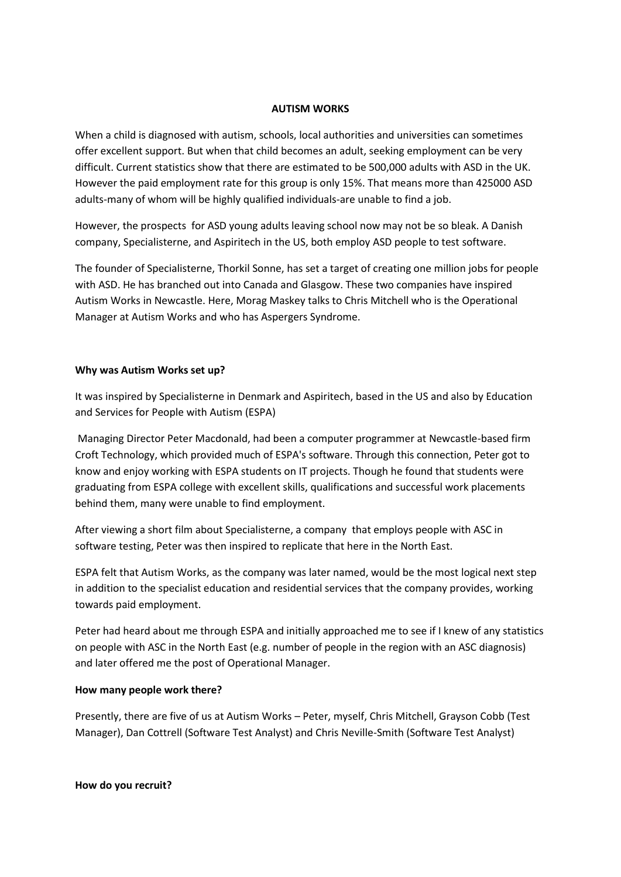#### **AUTISM WORKS**

When a child is diagnosed with autism, schools, local authorities and universities can sometimes offer excellent support. But when that child becomes an adult, seeking employment can be very difficult. Current statistics show that there are estimated to be 500,000 adults with ASD in the UK. However the paid employment rate for this group is only 15%. That means more than 425000 ASD adults-many of whom will be highly qualified individuals-are unable to find a job.

However, the prospects for ASD young adults leaving school now may not be so bleak. A Danish company, Specialisterne, and Aspiritech in the US, both employ ASD people to test software.

The founder of Specialisterne, Thorkil Sonne, has set a target of creating one million jobs for people with ASD. He has branched out into Canada and Glasgow. These two companies have inspired Autism Works in Newcastle. Here, Morag Maskey talks to Chris Mitchell who is the Operational Manager at Autism Works and who has Aspergers Syndrome.

### **Why was Autism Works set up?**

It was inspired by Specialisterne in Denmark and Aspiritech, based in the US and also by Education and Services for People with Autism (ESPA)

Managing Director Peter Macdonald, had been a computer programmer at Newcastle-based firm Croft Technology, which provided much of ESPA's software. Through this connection, Peter got to know and enjoy working with ESPA students on IT projects. Though he found that students were graduating from ESPA college with excellent skills, qualifications and successful work placements behind them, many were unable to find employment.

After viewing a short film about Specialisterne, a company that employs people with ASC in software testing, Peter was then inspired to replicate that here in the North East.

ESPA felt that Autism Works, as the company was later named, would be the most logical next step in addition to the specialist education and residential services that the company provides, working towards paid employment.

Peter had heard about me through ESPA and initially approached me to see if I knew of any statistics on people with ASC in the North East (e.g. number of people in the region with an ASC diagnosis) and later offered me the post of Operational Manager.

### **How many people work there?**

Presently, there are five of us at Autism Works – Peter, myself, Chris Mitchell, Grayson Cobb (Test Manager), Dan Cottrell (Software Test Analyst) and Chris Neville-Smith (Software Test Analyst)

**How do you recruit?**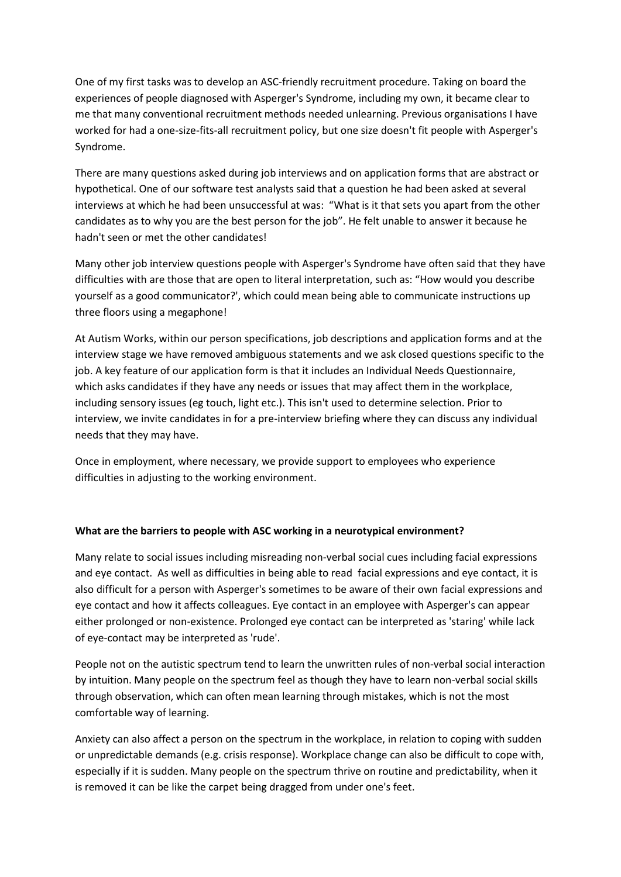One of my first tasks was to develop an ASC-friendly recruitment procedure. Taking on board the experiences of people diagnosed with Asperger's Syndrome, including my own, it became clear to me that many conventional recruitment methods needed unlearning. Previous organisations I have worked for had a one-size-fits-all recruitment policy, but one size doesn't fit people with Asperger's Syndrome.

There are many questions asked during job interviews and on application forms that are abstract or hypothetical. One of our software test analysts said that a question he had been asked at several interviews at which he had been unsuccessful at was: "What is it that sets you apart from the other candidates as to why you are the best person for the job". He felt unable to answer it because he hadn't seen or met the other candidates!

Many other job interview questions people with Asperger's Syndrome have often said that they have difficulties with are those that are open to literal interpretation, such as: "How would you describe yourself as a good communicator?', which could mean being able to communicate instructions up three floors using a megaphone!

At Autism Works, within our person specifications, job descriptions and application forms and at the interview stage we have removed ambiguous statements and we ask closed questions specific to the job. A key feature of our application form is that it includes an Individual Needs Questionnaire, which asks candidates if they have any needs or issues that may affect them in the workplace, including sensory issues (eg touch, light etc.). This isn't used to determine selection. Prior to interview, we invite candidates in for a pre-interview briefing where they can discuss any individual needs that they may have.

Once in employment, where necessary, we provide support to employees who experience difficulties in adjusting to the working environment.

# **What are the barriers to people with ASC working in a neurotypical environment?**

Many relate to social issues including misreading non-verbal social cues including facial expressions and eye contact. As well as difficulties in being able to read facial expressions and eye contact, it is also difficult for a person with Asperger's sometimes to be aware of their own facial expressions and eye contact and how it affects colleagues. Eye contact in an employee with Asperger's can appear either prolonged or non-existence. Prolonged eye contact can be interpreted as 'staring' while lack of eye-contact may be interpreted as 'rude'.

People not on the autistic spectrum tend to learn the unwritten rules of non-verbal social interaction by intuition. Many people on the spectrum feel as though they have to learn non-verbal social skills through observation, which can often mean learning through mistakes, which is not the most comfortable way of learning.

Anxiety can also affect a person on the spectrum in the workplace, in relation to coping with sudden or unpredictable demands (e.g. crisis response). Workplace change can also be difficult to cope with, especially if it is sudden. Many people on the spectrum thrive on routine and predictability, when it is removed it can be like the carpet being dragged from under one's feet.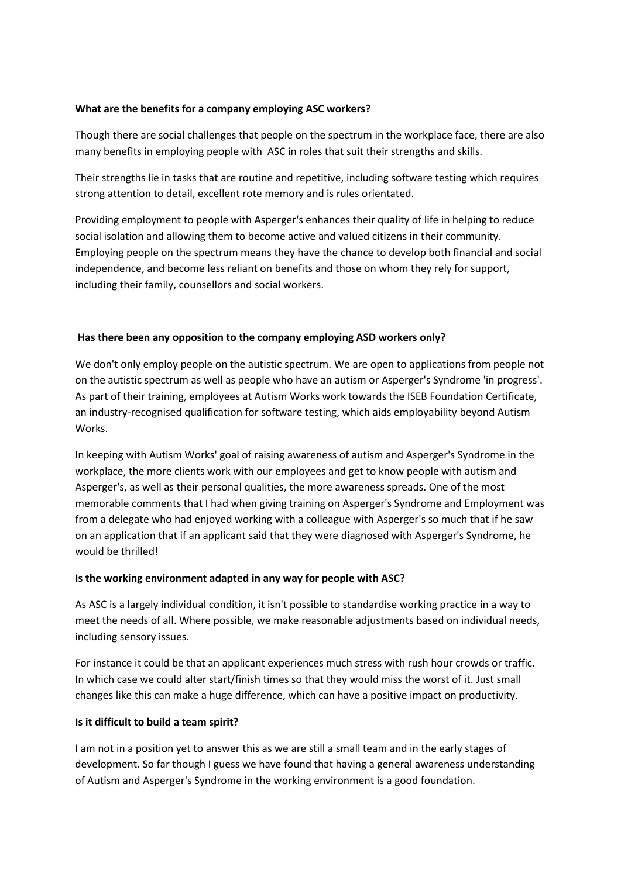## **What are the benefits for a company employing ASC workers?**

Though there are social challenges that people on the spectrum in the workplace face, there are also many benefits in employing people with ASC in roles that suit their strengths and skills.

Their strengths lie in tasks that are routine and repetitive, including software testing which requires strong attention to detail, excellent rote memory and is rules orientated.

Providing employment to people with Asperger's enhances their quality of life in helping to reduce social isolation and allowing them to become active and valued citizens in their community. Employing people on the spectrum means they have the chance to develop both financial and social independence, and become less reliant on benefits and those on whom they rely for support, including their family, counsellors and social workers.

## **Has there been any opposition to the company employing ASD workers only?**

We don't only employ people on the autistic spectrum. We are open to applications from people not on the autistic spectrum as well as people who have an autism or Asperger's Syndrome 'in progress'. As part of their training, employees at Autism Works work towards the ISEB Foundation Certificate, an industry-recognised qualification for software testing, which aids employability beyond Autism Works.

In keeping with Autism Works' goal of raising awareness of autism and Asperger's Syndrome in the workplace, the more clients work with our employees and get to know people with autism and Asperger's, as well as their personal qualities, the more awareness spreads. One of the most memorable comments that I had when giving training on Asperger's Syndrome and Employment was from a delegate who had enjoyed working with a colleague with Asperger's so much that if he saw on an application that if an applicant said that they were diagnosed with Asperger's Syndrome, he would be thrilled!

### **Is the working environment adapted in any way for people with ASC?**

As ASC is a largely individual condition, it isn't possible to standardise working practice in a way to meet the needs of all. Where possible, we make reasonable adjustments based on individual needs, including sensory issues.

For instance it could be that an applicant experiences much stress with rush hour crowds or traffic. In which case we could alter start/finish times so that they would miss the worst of it. Just small changes like this can make a huge difference, which can have a positive impact on productivity.

# **Is it difficult to build a team spirit?**

I am not in a position yet to answer this as we are still a small team and in the early stages of development. So far though I guess we have found that having a general awareness understanding of Autism and Asperger's Syndrome in the working environment is a good foundation.